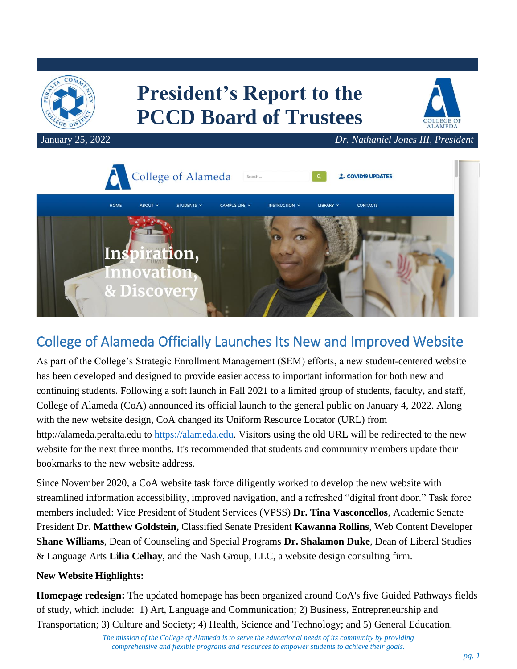

# **President's Report to the PCCD Board of Trustees**



January 25, 2022 *Dr. Nathaniel Jones III, President*



## College of Alameda Officially Launches Its New and Improved Website

As part of the College's Strategic Enrollment Management (SEM) efforts, a new student-centered website has been developed and designed to provide easier access to important information for both new and continuing students. Following a soft launch in Fall 2021 to a limited group of students, faculty, and staff, College of Alameda (CoA) announced its official launch to the general public on January 4, 2022. Along with the new website design, CoA changed its Uniform Resource Locator (URL) from http://alameda.peralta.edu to [https://alameda.edu.](https://alameda.edu/) Visitors using the old URL will be redirected to the new website for the next three months. It's recommended that students and community members update their bookmarks to the new website address.

Since November 2020, a CoA website task force diligently worked to develop the new website with streamlined information accessibility, improved navigation, and a refreshed "digital front door." Task force members included: Vice President of Student Services (VPSS) **Dr. Tina Vasconcellos**, Academic Senate President **Dr. Matthew Goldstein,** Classified Senate President **Kawanna Rollins**, Web Content Developer **Shane Williams**, Dean of Counseling and Special Programs **Dr. Shalamon Duke**, Dean of Liberal Studies & Language Arts **Lilia Celhay**, and the [Nash Group, LLC,](https://nashgroupllc.com/) a website design consulting firm.

#### **New Website Highlights:**

**Homepage redesign:** The updated homepage has been organized around CoA's five Guided Pathways fields of study, which include: 1) Art, Language and Communication; 2) Business, Entrepreneurship and Transportation; 3) Culture and Society; 4) Health, Science and Technology; and 5) General Education.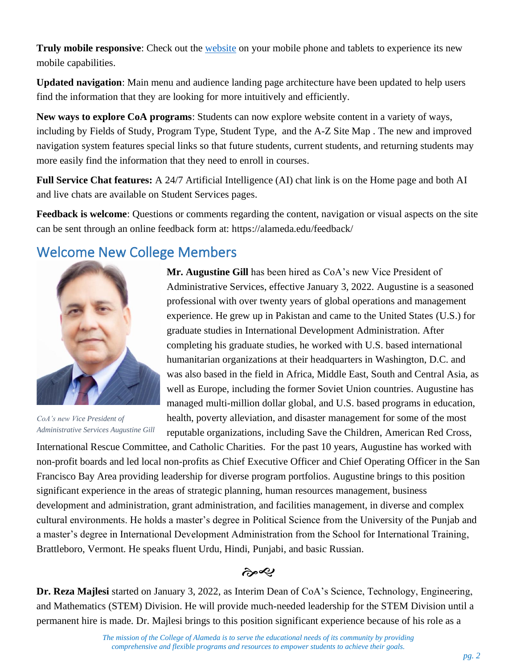**Truly mobile responsive**: Check out the [website](https://alameda.edu/) on your mobile phone and tablets to experience its new mobile capabilities.

**Updated navigation**: Main menu and audience landing page architecture have been updated to help users find the information that they are looking for more intuitively and efficiently.

**New ways to explore CoA programs**: Students can now explore website content in a variety of ways, including by Fields of Study, Program Type, Student Type, and the A-Z [Site Map](https://alameda.edu/site-map/) . The new and improved navigation system features special links so that [future students,](https://alameda.edu/students/future-students/) [current students,](https://alameda.edu/students/current-students/,) and [returning students](https://alameda.edu/students/returning-students/) may more easily find the information that they need to enroll in courses.

**Full Service Chat features:** A 24/7 Artificial Intelligence (AI) chat link is on the Home page and both AI and live chats are available on Student Services pages.

**Feedback is welcome**: Questions or comments regarding the content, navigation or visual aspects on the site can be sent through an online feedback form at: <https://alameda.edu/feedback/>

#### Welcome New College Members



*CoA's new Vice President of Administrative Services Augustine Gill*

**Mr. Augustine Gill** has been hired as CoA's new Vice President of Administrative Services, effective January 3, 2022. Augustine is a seasoned professional with over twenty years of global operations and management experience. He grew up in Pakistan and came to the United States (U.S.) for graduate studies in International Development Administration. After completing his graduate studies, he worked with U.S. based international humanitarian organizations at their headquarters in Washington, D.C. and was also based in the field in Africa, Middle East, South and Central Asia, as well as Europe, including the former Soviet Union countries. Augustine has managed multi-million dollar global, and U.S. based programs in education, health, poverty alleviation, and disaster management for some of the most reputable organizations, including Save the Children, American Red Cross,

International Rescue Committee, and Catholic Charities. For the past 10 years, Augustine has worked with non-profit boards and led local non-profits as Chief Executive Officer and Chief Operating Officer in the San Francisco Bay Area providing leadership for diverse program portfolios. Augustine brings to this position significant experience in the areas of strategic planning, human resources management, business development and administration, grant administration, and facilities management, in diverse and complex cultural environments. He holds a master's degree in Political Science from the University of the Punjab and a master's degree in International Development Administration from the School for International Training, Brattleboro, Vermont. He speaks fluent Urdu, Hindi, Punjabi, and basic Russian.

بصمج

**Dr. Reza Majlesi** started on January 3, 2022, as Interim Dean of CoA's Science, Technology, Engineering, and Mathematics (STEM) Division. He will provide much-needed leadership for the STEM Division until a permanent hire is made. Dr. Majlesi brings to this position significant experience because of his role as a